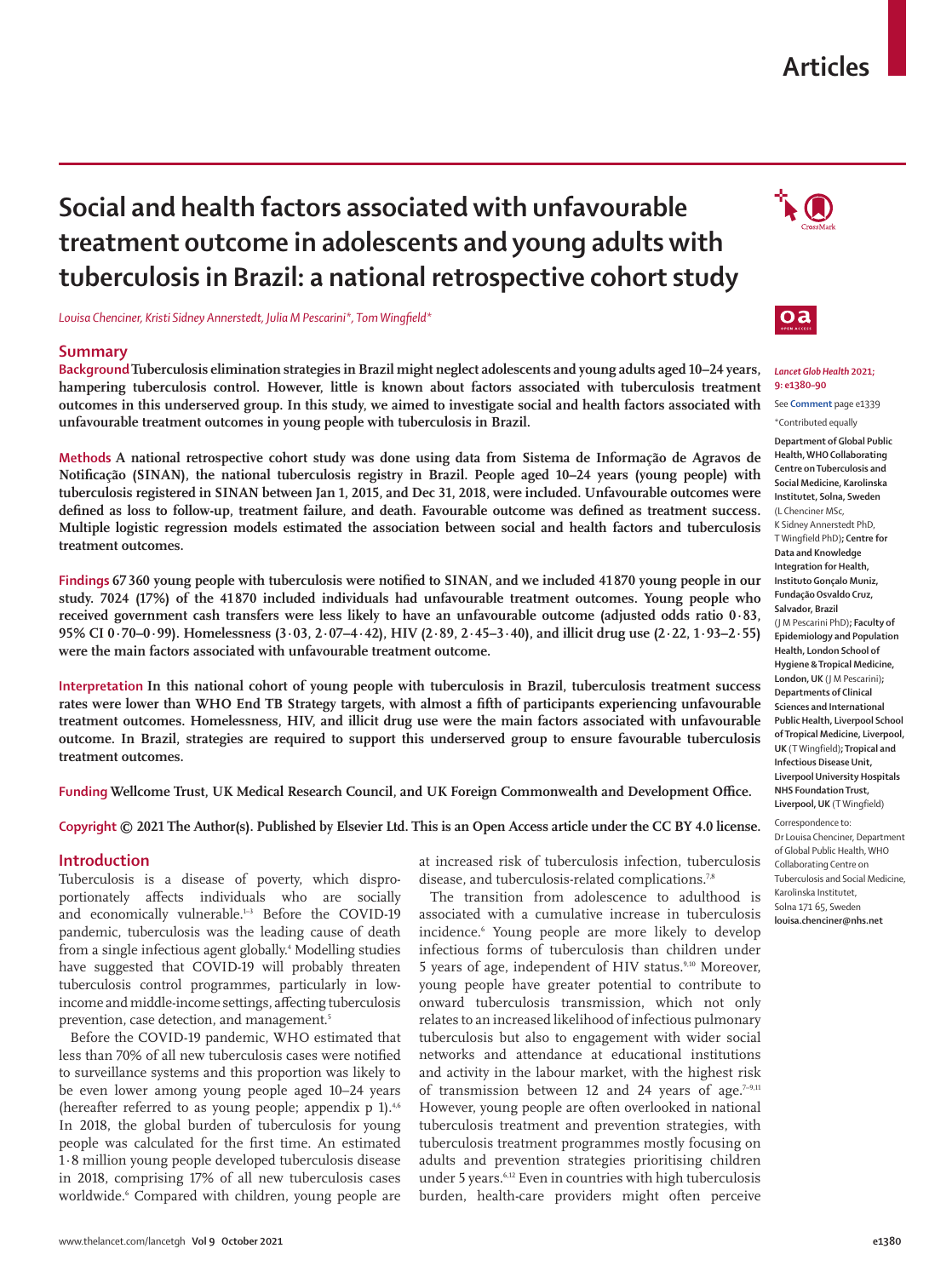#### www.thelancet.com/lancetgh **Vol 9 October 2021 e1380**

## **Articles**

# **Social and health factors associated with unfavourable treatment outcome in adolescents and young adults with tuberculosis in Brazil: a national retrospective cohort study**

*Louisa Chenciner, Kristi Sidney Annerstedt, Julia M Pescarini\*, Tom Wingfield\**

## **Summary**

**Background Tuberculosis elimination strategies in Brazil might neglect adolescents and young adults aged 10–24 years, hampering tuberculosis control. However, little is known about factors associated with tuberculosis treatment outcomes in this underserved group. In this study, we aimed to investigate social and health factors associated with unfavourable treatment outcomes in young people with tuberculosis in Brazil.**

**Methods A national retrospective cohort study was done using data from Sistema de Informação de Agravos de Notificação (SINAN), the national tuberculosis registry in Brazil. People aged 10–24 years (young people) with tuberculosis registered in SINAN between Jan 1, 2015, and Dec 31, 2018, were included. Unfavourable outcomes were defined as loss to follow-up, treatment failure, and death. Favourable outcome was defined as treatment success. Multiple logistic regression models estimated the association between social and health factors and tuberculosis treatment outcomes.**

**Findings 67 360 young people with tuberculosis were notified to SINAN, and we included 41870 young people in our study. 7024 (17%) of the 41 870 included individuals had unfavourable treatment outcomes. Young people who received government cash transfers were less likely to have an unfavourable outcome (adjusted odds ratio 0·83, 95% CI 0·70–0·99). Homelessness (3·03, 2·07–4·42), HIV (2·89, 2·45–3·40), and illicit drug use (2·22, 1·93–2·55) were the main factors associated with unfavourable treatment outcome.**

**Interpretation In this national cohort of young people with tuberculosis in Brazil, tuberculosis treatment success rates were lower than WHO End TB Strategy targets, with almost a fifth of participants experiencing unfavourable treatment outcomes. Homelessness, HIV, and illicit drug use were the main factors associated with unfavourable outcome. In Brazil, strategies are required to support this underserved group to ensure favourable tuberculosis treatment outcomes.**

**Funding Wellcome Trust, UK Medical Research Council, and UK Foreign Commonwealth and Development Office.**

## **Copyright © 2021 The Author(s). Published by Elsevier Ltd. This is an Open Access article under the CC BY 4.0 license.**

## **Introduction**

Tuberculosis is a disease of poverty, which disproportionately affects individuals who are socially and economically vulnerable. $1-3$  Before the COVID-19 pandemic, tuberculosis was the leading cause of death from a single infectious agent globally.4 Modelling studies have suggested that COVID-19 will probably threaten tuberculosis control programmes, particularly in lowincome and middle-income settings, affecting tuberculosis prevention, case detection, and management.<sup>5</sup>

Before the COVID-19 pandemic, WHO estimated that less than 70% of all new tuberculosis cases were notified to surveillance systems and this proportion was likely to be even lower among young people aged 10–24 years (hereafter referred to as young people; appendix  $p$  1).<sup>4,6</sup> In 2018, the global burden of tuberculosis for young people was calculated for the first time. An estimated 1·8 million young people developed tuberculosis disease in 2018, comprising 17% of all new tuberculosis cases worldwide.6 Compared with children, young people are at increased risk of tuberculosis infection, tuberculosis disease, and tuberculosis-related complications.<sup>7,8</sup>

The transition from adolescence to adulthood is associated with a cumulative increase in tuberculosis incidence.6 Young people are more likely to develop infectious forms of tuberculosis than children under 5 years of age, independent of HIV status.<sup>9,10</sup> Moreover, young people have greater potential to contribute to onward tuberculosis transmission, which not only relates to an increased likelihood of infectious pulmonary tuberculosis but also to engagement with wider social networks and attendance at educational institutions and activity in the labour market, with the highest risk of transmission between 12 and 24 years of age. $7-9,11$ However, young people are often overlooked in national tuberculosis treatment and prevention strategies, with tuberculosis treatment programmes mostly focusing on adults and prevention strategies prioritising children under 5 years.6,12 Even in countries with high tuberculosis burden, health-care providers might often perceive



#### *Lancet Glob Health* **2021; 9: e1380–90**

See **Comment** page e1339

\*Contributed equally

**Department of Global Public Health, WHO Collaborating Centre on Tuberculosis and Social Medicine, Karolinska Institutet, Solna, Sweden**  (L Chenciner MSc,

K Sidney Annerstedt PhD, T Wingfield PhD)**; Centre for Data and Knowledge Integration for Health, Instituto Gonçalo Muniz, Fundação Osvaldo Cruz, Salvador, Brazil** (J M Pescarini PhD)**; Faculty of Epidemiology and Population Health, London School of Hygiene & Tropical Medicine, London, UK** (J M Pescarini)**; Departments of Clinical Sciences and International Public Health, Liverpool School of Tropical Medicine, Liverpool, UK** (T Wingfield)**; Tropical and Infectious Disease Unit, Liverpool University Hospitals NHS Foundation Trust, Liverpool, UK** (T Wingfield)

Correspondence to: Dr Louisa Chenciner, Department of Global Public Health, WHO Collaborating Centre on Tuberculosis and Social Medicine, Karolinska Institutet, Solna 171 65, Sweden **louisa.chenciner@nhs.net**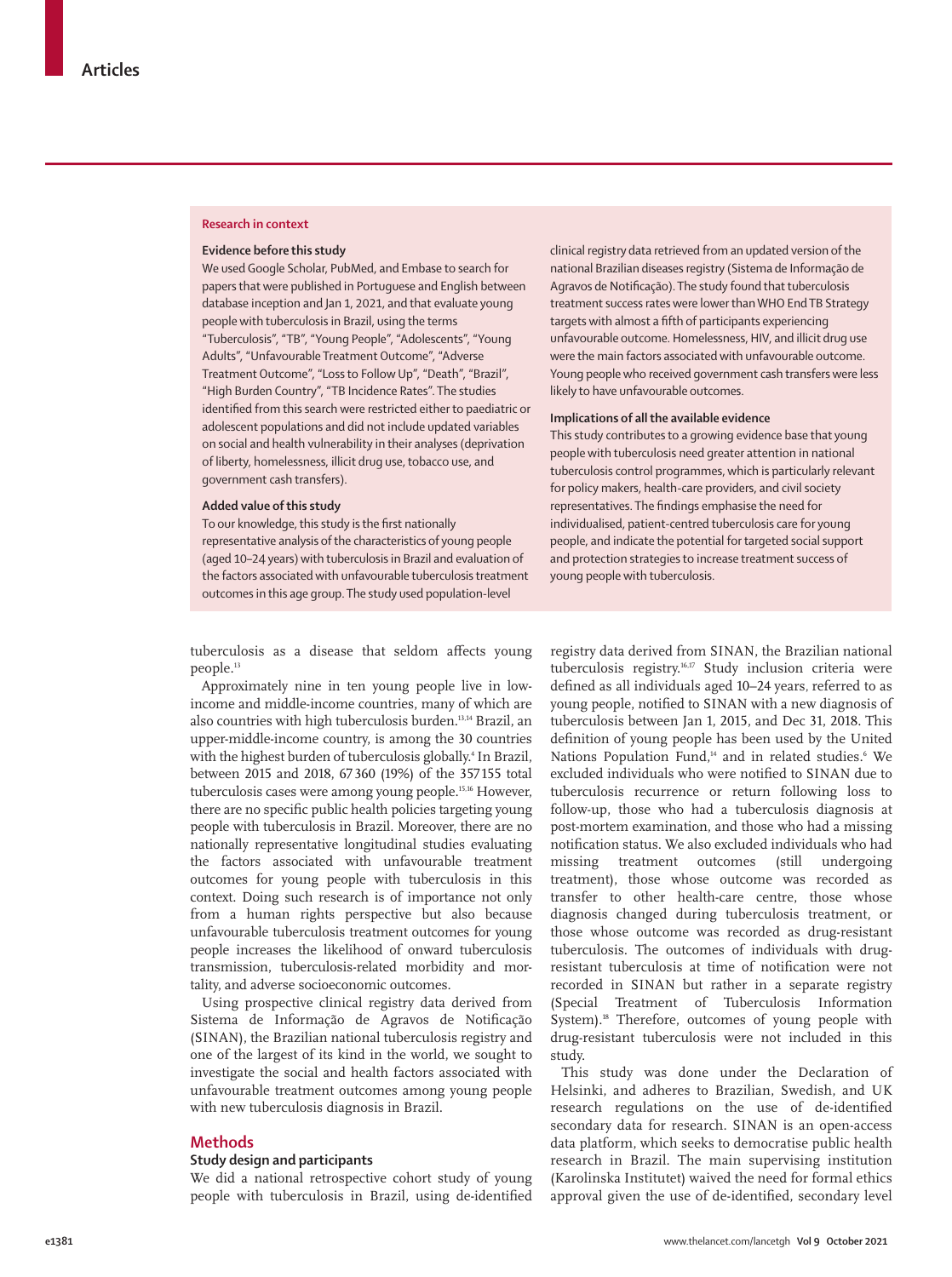#### **Research in context**

#### **Evidence before this study**

We used Google Scholar, PubMed, and Embase to search for papers that were published in Portuguese and English between database inception and Jan 1, 2021, and that evaluate young people with tuberculosis in Brazil, using the terms "Tuberculosis", "TB", "Young People", "Adolescents", "Young Adults", "Unfavourable Treatment Outcome", "Adverse Treatment Outcome", "Loss to Follow Up", "Death", "Brazil", "High Burden Country", "TB Incidence Rates". The studies identified from this search were restricted either to paediatric or adolescent populations and did not include updated variables on social and health vulnerability in their analyses (deprivation of liberty, homelessness, illicit drug use, tobacco use, and government cash transfers).

#### **Added value of this study**

To our knowledge, this study is the first nationally representative analysis of the characteristics of young people (aged 10–24 years) with tuberculosis in Brazil and evaluation of the factors associated with unfavourable tuberculosis treatment outcomes in this age group. The study used population-level

clinical registry data retrieved from an updated version of the national Brazilian diseases registry (Sistema de Informação de Agravos de Notificação). The study found that tuberculosis treatment success rates were lower than WHO End TB Strategy targets with almost a fifth of participants experiencing unfavourable outcome. Homelessness, HIV, and illicit drug use were the main factors associated with unfavourable outcome. Young people who received government cash transfers were less likely to have unfavourable outcomes.

#### **Implications of all the available evidence**

This study contributes to a growing evidence base that young people with tuberculosis need greater attention in national tuberculosis control programmes, which is particularly relevant for policy makers, health-care providers, and civil society representatives. The findings emphasise the need for individualised, patient-centred tuberculosis care for young people, and indicate the potential for targeted social support and protection strategies to increase treatment success of young people with tuberculosis.

tuberculosis as a disease that seldom affects young people.<sup>13</sup>

Approximately nine in ten young people live in lowincome and middle-income countries, many of which are also countries with high tuberculosis burden.<sup>13,14</sup> Brazil, an upper-middle-income country, is among the 30 countries with the highest burden of tuberculosis globally.<sup>4</sup> In Brazil, between 2015 and 2018, 67360 (19%) of the 357 155 total tuberculosis cases were among young people.15,16 However, there are no specific public health policies targeting young people with tuberculosis in Brazil. Moreover, there are no nationally representative longitudinal studies evaluating the factors associated with unfavourable treatment outcomes for young people with tuberculosis in this context. Doing such research is of importance not only from a human rights perspective but also because unfavourable tuberculosis treatment outcomes for young people increases the likelihood of onward tuberculosis transmission, tuberculosis-related morbidity and mortality, and adverse socioeconomic outcomes.

Using prospective clinical registry data derived from Sistema de Informação de Agravos de Notificação (SINAN), the Brazilian national tuberculosis registry and one of the largest of its kind in the world, we sought to investigate the social and health factors associated with unfavourable treatment outcomes among young people with new tuberculosis diagnosis in Brazil.

## **Methods**

#### **Study design and participants**

We did a national retrospective cohort study of young people with tuberculosis in Brazil, using de-identified registry data derived from SINAN, the Brazilian national tuberculosis registry.16,17 Study inclusion criteria were defined as all individuals aged 10–24 years, referred to as young people, notified to SINAN with a new diagnosis of tuberculosis between Jan 1, 2015, and Dec 31, 2018. This definition of young people has been used by the United Nations Population Fund,<sup>14</sup> and in related studies.<sup>6</sup> We excluded individuals who were notified to SINAN due to tuberculosis recurrence or return following loss to follow-up, those who had a tuberculosis diagnosis at post-mortem examination, and those who had a missing notification status. We also excluded individuals who had missing treatment outcomes (still undergoing treatment), those whose outcome was recorded as transfer to other health-care centre, those whose diagnosis changed during tuberculosis treatment, or those whose outcome was recorded as drug-resistant tuberculosis. The outcomes of individuals with drugresistant tuberculosis at time of notification were not recorded in SINAN but rather in a separate registry (Special Treatment of Tuberculosis Information System).<sup>18</sup> Therefore, outcomes of young people with drug-resistant tuberculosis were not included in this study.

This study was done under the Declaration of Helsinki, and adheres to Brazilian, Swedish, and UK research regulations on the use of de-identified secondary data for research. SINAN is an open-access data platform, which seeks to democratise public health research in Brazil. The main supervising institution (Karolinska Institutet) waived the need for formal ethics approval given the use of de-identified, secondary level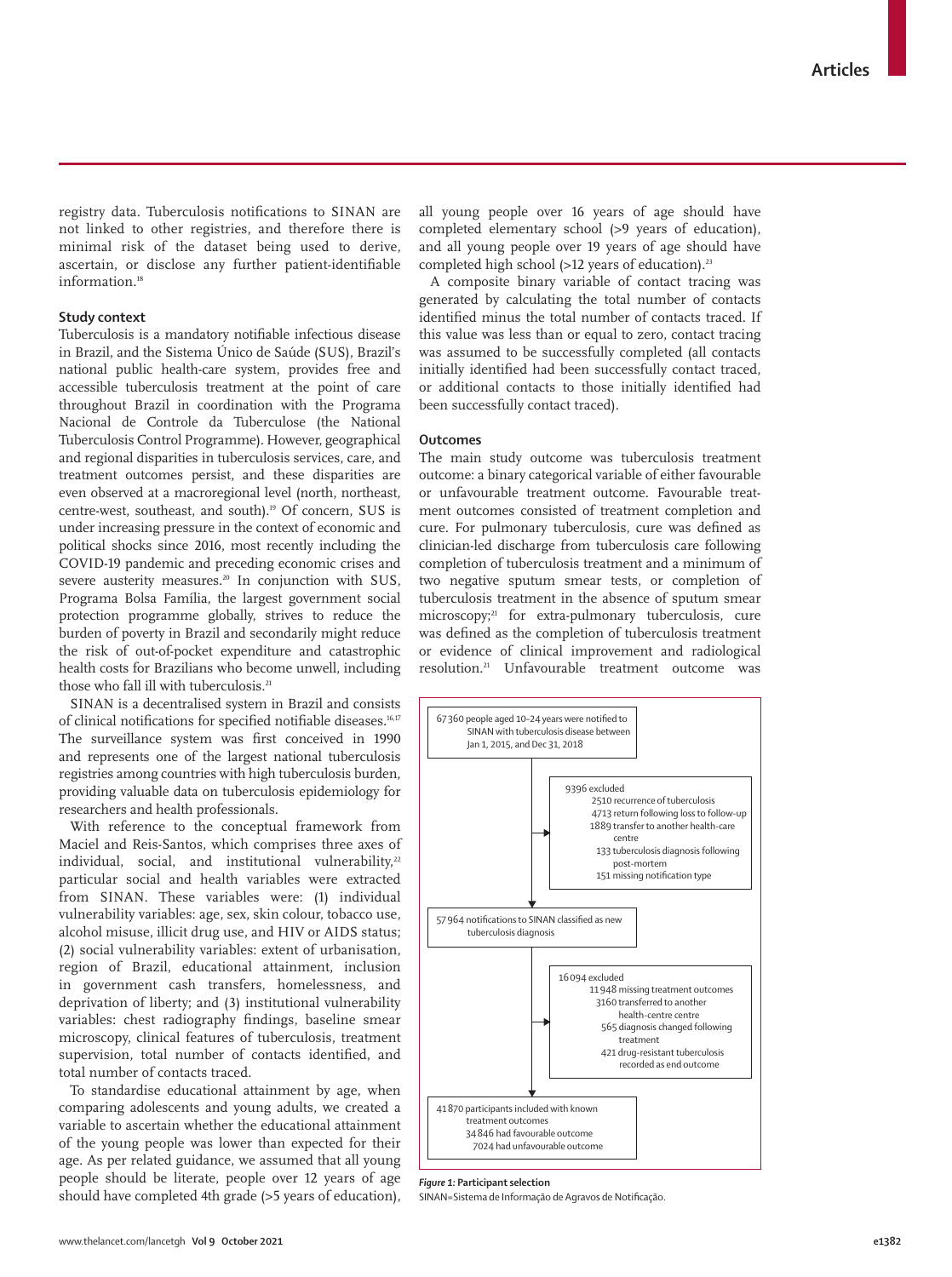registry data. Tuberculosis notifications to SINAN are not linked to other registries, and therefore there is minimal risk of the dataset being used to derive, ascertain, or disclose any further patient-identifiable information.<sup>18</sup>

## **Study context**

Tuberculosis is a mandatory notifiable infectious disease in Brazil, and the Sistema Único de Saúde (SUS), Brazil's national public health-care system, provides free and accessible tuberculosis treatment at the point of care throughout Brazil in coordination with the Programa Nacional de Controle da Tuberculose (the National Tuberculosis Control Programme). However, geographical and regional disparities in tuberculosis services, care, and treatment outcomes persist, and these disparities are even observed at a macroregional level (north, northeast, centre-west, southeast, and south).19 Of concern, SUS is under increasing pressure in the context of economic and political shocks since 2016, most recently including the COVID-19 pandemic and preceding economic crises and severe austerity measures.<sup>20</sup> In conjunction with SUS, Programa Bolsa Família, the largest government social protection programme globally, strives to reduce the burden of poverty in Brazil and secondarily might reduce the risk of out-of-pocket expenditure and catastrophic health costs for Brazilians who become unwell, including those who fall ill with tuberculosis.<sup>21</sup>

SINAN is a decentralised system in Brazil and consists of clinical notifications for specified notifiable diseases.16,17 The surveillance system was first conceived in 1990 and represents one of the largest national tuberculosis registries among countries with high tuberculosis burden, providing valuable data on tuberculosis epidemiology for researchers and health professionals.

With reference to the conceptual framework from Maciel and Reis-Santos, which comprises three axes of individual, social, and institutional vulnerability, $22$ particular social and health variables were extracted from SINAN. These variables were: (1) individual vulnerability variables: age, sex, skin colour, tobacco use, alcohol misuse, illicit drug use, and HIV or AIDS status; (2) social vulnerability variables: extent of urbanisation, region of Brazil, educational attainment, inclusion in government cash transfers, homelessness, and deprivation of liberty; and (3) institutional vulnerability variables: chest radiography findings, baseline smear microscopy, clinical features of tuberculosis, treatment supervision, total number of contacts identified, and total number of contacts traced.

To standardise educational attainment by age, when comparing adolescents and young adults, we created a variable to ascertain whether the educational attainment of the young people was lower than expected for their age. As per related guidance, we assumed that all young people should be literate, people over 12 years of age should have completed 4th grade (>5 years of education),

all young people over 16 years of age should have completed elementary school (>9 years of education), and all young people over 19 years of age should have completed high school (>12 years of education).<sup>23</sup>

A composite binary variable of contact tracing was generated by calculating the total number of contacts identified minus the total number of contacts traced. If this value was less than or equal to zero, contact tracing was assumed to be successfully completed (all contacts initially identified had been successfully contact traced, or additional contacts to those initially identified had been successfully contact traced).

## **Outcomes**

The main study outcome was tuberculosis treatment outcome: a binary categorical variable of either favourable or unfavourable treatment outcome. Favourable treatment outcomes consisted of treatment completion and cure. For pulmonary tuberculosis, cure was defined as clinician-led discharge from tuberculosis care following completion of tuberculosis treatment and a minimum of two negative sputum smear tests, or completion of tuberculosis treatment in the absence of sputum smear microscopy;<sup>21</sup> for extra-pulmonary tuberculosis, cure was defined as the completion of tuberculosis treatment or evidence of clinical improvement and radiological resolution.21 Unfavourable treatment outcome was



*Figure 1:* **Participant selection**

SINAN=Sistema de Informação de Agravos de Notificação.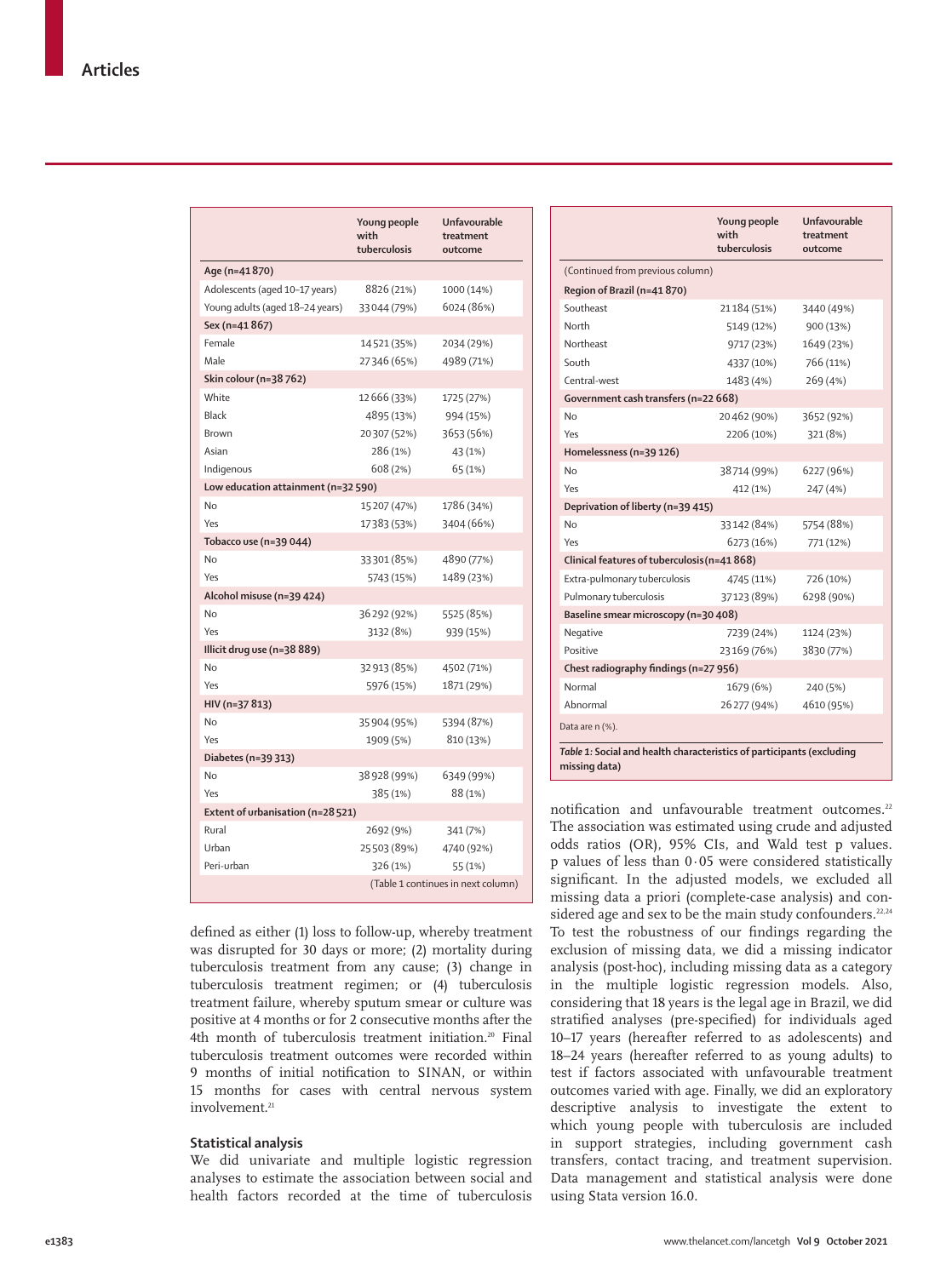|                                     | Young people<br>with<br>tuberculosis | Unfavourable<br>treatment<br>outcome |
|-------------------------------------|--------------------------------------|--------------------------------------|
| Age (n=41870)                       |                                      |                                      |
| Adolescents (aged 10-17 years)      | 8826 (21%)                           | 1000 (14%)                           |
| Young adults (aged 18-24 years)     | 33044 (79%)                          | 6024 (86%)                           |
| Sex (n=41 867)                      |                                      |                                      |
| Female                              | 14521 (35%)                          | 2034 (29%)                           |
| Male                                | 27346 (65%)                          | 4989 (71%)                           |
| Skin colour (n=38762)               |                                      |                                      |
| White                               | 12 666 (33%)                         | 1725 (27%)                           |
| Black                               | 4895 (13%)                           | 994 (15%)                            |
| <b>Brown</b>                        | 20307 (52%)                          | 3653 (56%)                           |
| Asian                               | 286 (1%)                             | 43 (1%)                              |
| Indigenous                          | 608 (2%)                             | 65 (1%)                              |
| Low education attainment (n=32 590) |                                      |                                      |
| No                                  | 15 207 (47%)                         | 1786 (34%)                           |
| Yes                                 | 17383 (53%)                          | 3404 (66%)                           |
| Tobacco use (n=39 044)              |                                      |                                      |
| No                                  | 33301 (85%)                          | 4890 (77%)                           |
| Yes                                 | 5743 (15%)                           | 1489 (23%)                           |
| Alcohol misuse (n=39 424)           |                                      |                                      |
| No                                  | 36292 (92%)                          | 5525 (85%)                           |
| Yes                                 | 3132 (8%)                            | 939 (15%)                            |
| Illicit drug use (n=38 889)         |                                      |                                      |
| No                                  | 32 913 (85%)                         | 4502 (71%)                           |
| Yes                                 | 5976 (15%)                           | 1871 (29%)                           |
| HIV (n=37 813)                      |                                      |                                      |
| Nο                                  | 35 904 (95%)                         | 5394 (87%)                           |
| Yes                                 | 1909 (5%)                            | 810 (13%)                            |
| Diabetes (n=39 313)                 |                                      |                                      |
| No                                  | 38 928 (99%)                         | 6349 (99%)                           |
| Yes                                 | 385 (1%)                             | 88 (1%)                              |
| Extent of urbanisation (n=28 521)   |                                      |                                      |
| Rural                               | 2692 (9%)                            | 341 (7%)                             |
| Urban                               | 25503 (89%)                          | 4740 (92%)                           |
| Peri-urban                          | 326 (1%)                             | 55 (1%)                              |
|                                     |                                      | (Table 1 continues in next column)   |

defined as either (1) loss to follow-up, whereby treatment was disrupted for 30 days or more; (2) mortality during tuberculosis treatment from any cause; (3) change in tuberculosis treatment regimen; or (4) tuberculosis treatment failure, whereby sputum smear or culture was positive at 4 months or for 2 consecutive months after the 4th month of tuberculosis treatment initiation.<sup>20</sup> Final tuberculosis treatment outcomes were recorded within 9 months of initial notification to SINAN, or within 15 months for cases with central nervous system involvement.<sup>21</sup>

## **Statistical analysis**

We did univariate and multiple logistic regression analyses to estimate the association between social and health factors recorded at the time of tuberculosis

|                                                                                        | Young people<br>with<br>tuberculosis | Unfavourable<br>treatment<br>outcome |  |
|----------------------------------------------------------------------------------------|--------------------------------------|--------------------------------------|--|
| (Continued from previous column)                                                       |                                      |                                      |  |
| Region of Brazil (n=41 870)                                                            |                                      |                                      |  |
| Southeast                                                                              | 21184 (51%)                          | 3440 (49%)                           |  |
| North                                                                                  | 5149 (12%)                           | 900 (13%)                            |  |
| Northeast                                                                              | 9717 (23%)                           | 1649 (23%)                           |  |
| South                                                                                  | 4337 (10%)                           | 766 (11%)                            |  |
| Central-west                                                                           | 1483 (4%)                            | 269 (4%)                             |  |
| Government cash transfers (n=22 668)                                                   |                                      |                                      |  |
| No                                                                                     | 20462 (90%)                          | 3652 (92%)                           |  |
| Yes                                                                                    | 2206 (10%)                           | 321 (8%)                             |  |
| Homelessness (n=39 126)                                                                |                                      |                                      |  |
| No                                                                                     | 38714 (99%)                          | 6227 (96%)                           |  |
| Yes                                                                                    | 412 (1%)                             | 247 (4%)                             |  |
| Deprivation of liberty (n=39 415)                                                      |                                      |                                      |  |
| No                                                                                     | 33142 (84%)                          | 5754 (88%)                           |  |
| Yes                                                                                    | 6273 (16%)                           | 771 (12%)                            |  |
| Clinical features of tuberculosis (n=41 868)                                           |                                      |                                      |  |
| Extra-pulmonary tuberculosis                                                           | 4745 (11%)                           | 726 (10%)                            |  |
| Pulmonary tuberculosis                                                                 | 37123 (89%)                          | 6298 (90%)                           |  |
| Baseline smear microscopy (n=30 408)                                                   |                                      |                                      |  |
| Negative                                                                               | 7239 (24%)                           | 1124 (23%)                           |  |
| Positive                                                                               | 23169 (76%)                          | 3830 (77%)                           |  |
| Chest radiography findings (n=27 956)                                                  |                                      |                                      |  |
| Normal                                                                                 | 1679 (6%)                            | 240 (5%)                             |  |
| Abnormal                                                                               | 26277 (94%)                          | 4610 (95%)                           |  |
| Data are n (%).                                                                        |                                      |                                      |  |
| Table 1: Social and health characteristics of participants (excluding<br>missing data) |                                      |                                      |  |

notification and unfavourable treatment outcomes.<sup>22</sup> The association was estimated using crude and adjusted odds ratios (OR), 95% CIs, and Wald test p values. p values of less than 0·05 were considered statistically significant. In the adjusted models, we excluded all missing data a priori (complete-case analysis) and considered age and sex to be the main study confounders.<sup>22,24</sup> To test the robustness of our findings regarding the exclusion of missing data, we did a missing indicator analysis (post-hoc), including missing data as a category in the multiple logistic regression models. Also, considering that 18 years is the legal age in Brazil, we did stratified analyses (pre-specified) for individuals aged 10–17 years (hereafter referred to as adolescents) and 18–24 years (hereafter referred to as young adults) to test if factors associated with unfavourable treatment outcomes varied with age. Finally, we did an exploratory descriptive analysis to investigate the extent to which young people with tuberculosis are included in support strategies, including government cash transfers, contact tracing, and treatment supervision. Data management and statistical analysis were done using Stata version 16.0.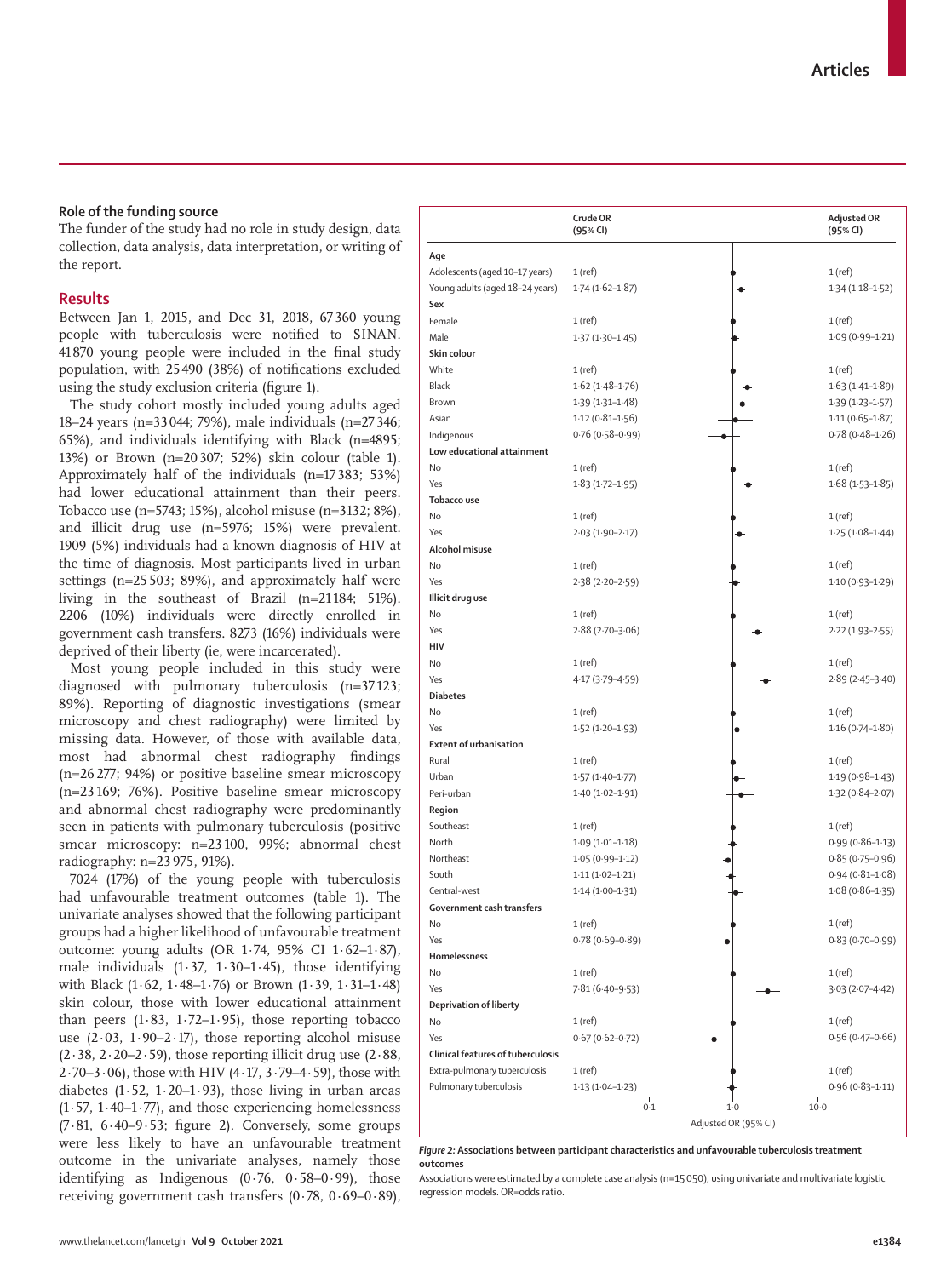## **Role of the funding source**

The funder of the study had no role in study design, data collection, data analysis, data interpretation, or writing of the report.

## **Results**

Between Jan 1, 2015, and Dec 31, 2018, 67 360 young people with tuberculosis were notified to SINAN. 41 870 young people were included in the final study population, with 25 490 (38%) of notifications excluded using the study exclusion criteria (figure 1).

The study cohort mostly included young adults aged 18–24 years (n=33 044; 79%), male individuals (n=27 346; 65%), and individuals identifying with Black (n=4895; 13%) or Brown (n=20 307; 52%) skin colour (table 1). Approximately half of the individuals (n=17 383; 53%) had lower educational attainment than their peers. Tobacco use (n=5743; 15%), alcohol misuse (n=3132; 8%), and illicit drug use (n=5976; 15%) were prevalent. 1909 (5%) individuals had a known diagnosis of HIV at the time of diagnosis. Most participants lived in urban settings (n=25 503; 89%), and approximately half were living in the southeast of Brazil (n=21 184; 51%). 2206 (10%) individuals were directly enrolled in government cash transfers. 8273 (16%) individuals were deprived of their liberty (ie, were incarcerated).

Most young people included in this study were diagnosed with pulmonary tuberculosis (n=37 123; 89%). Reporting of diagnostic investigations (smear microscopy and chest radiography) were limited by missing data. However, of those with available data, most had abnormal chest radiography findings (n=26 277; 94%) or positive baseline smear microscopy (n=23 169; 76%). Positive baseline smear microscopy and abnormal chest radiography were predominantly seen in patients with pulmonary tuberculosis (positive smear microscopy: n=23 100, 99%; abnormal chest radiography: n=23 975, 91%).

7024 (17%) of the young people with tuberculosis had unfavourable treatment outcomes (table 1). The univariate analyses showed that the following participant groups had a higher likelihood of unfavourable treatment outcome: young adults (OR 1·74, 95% CI 1·62–1·87), male individuals  $(1.37, 1.30-1.45)$ , those identifying with Black (1·62, 1·48–1·76) or Brown (1·39, 1·31–1·48) skin colour, those with lower educational attainment than peers  $(1.83, 1.72-1.95)$ , those reporting tobacco use  $(2.03, 1.90-2.17)$ , those reporting alcohol misuse  $(2.38, 2.20 - 2.59)$ , those reporting illicit drug use  $(2.88, 1.20)$ 2·70–3·06), those with HIV (4·17, 3·79–4·59), those with diabetes  $(1.52, 1.20-1.93)$ , those living in urban areas  $(1.57, 1.40-1.77)$ , and those experiencing homelessness (7·81, 6·40–9·53; figure 2). Conversely, some groups were less likely to have an unfavourable treatment outcome in the univariate analyses, namely those identifying as Indigenous  $(0.76, 0.58-0.99)$ , those receiving government cash transfers (0·78, 0·69–0·89),

|                                   | Crude OR<br>(95% CI) |       | <b>Adjusted OR</b><br>(95% CI) |
|-----------------------------------|----------------------|-------|--------------------------------|
| Age                               |                      |       |                                |
| Adolescents (aged 10-17 years)    | 1(ref)               |       | $1$ (ref)                      |
| Young adults (aged 18-24 years)   | $1.74(1.62 - 1.87)$  |       | $1.34(1.18-1.52)$              |
| Sex                               |                      |       |                                |
| Female                            | 1(ref)               |       | $1$ (ref)                      |
| Male                              | $1.37(1.30-1.45)$    |       | $1.09(0.99 - 1.21)$            |
| Skin colour                       |                      |       |                                |
| White                             | 1(ref)               |       | 1(ref)                         |
| <b>Black</b>                      | $1.62(1.48-1.76)$    |       | $1.63(1.41 - 1.89)$            |
| Brown                             | $1.39(1.31 - 1.48)$  |       | $1.39(1.23 - 1.57)$            |
| Asian                             | $1.12(0.81 - 1.56)$  |       | $1.11(0.65 - 1.87)$            |
| Indigenous                        | $0.76(0.58 - 0.99)$  |       | $0.78(0.48 - 1.26)$            |
| Low educational attainment        |                      |       |                                |
| No                                | 1(ref)               |       | 1(ref)                         |
| Yes                               | $1.83(1.72 - 1.95)$  |       | $1.68(1.53 - 1.85)$            |
| Tobacco use                       |                      |       |                                |
| No                                | 1(ref)               |       | $1$ (ref)                      |
| Yes                               | $2.03(1.90-2.17)$    |       | $1.25(1.08-1.44)$              |
| Alcohol misuse                    |                      |       |                                |
| No                                | 1(ref)               |       | $1$ (ref)                      |
| Yes                               | $2.38(2.20-2.59)$    |       | $1.10(0.93 - 1.29)$            |
| Illicit drug use                  |                      |       |                                |
| No                                | 1(ref)               |       | $1$ (ref)                      |
| Yes                               | $2.88(2.70-3.06)$    |       | $2.22(1.93 - 2.55)$            |
| HIV                               |                      |       |                                |
| No                                | 1(ref)               |       | $1$ (ref)                      |
| Yes                               | 4.17 (3.79-4.59)     |       | $2.89(2.45-3.40)$              |
| <b>Diabetes</b>                   |                      |       |                                |
| No                                | $1$ (ref)            |       | 1(ref)                         |
| Yes                               | $1.52(1.20-1.93)$    |       | $1.16(0.74 - 1.80)$            |
| <b>Extent of urbanisation</b>     |                      |       |                                |
| Rural                             | $1$ (ref)            |       | $1$ (ref)                      |
| Urban                             | $1.57(1.40-1.77)$    |       | $1.19(0.98 - 1.43)$            |
| Peri-urban                        | $1.40(1.02 - 1.91)$  |       | $1.32(0.84 - 2.07)$            |
| Region                            |                      |       |                                |
| Southeast                         | 1(ref)               |       | $1$ (ref)                      |
| North                             | $1.09(1.01 - 1.18)$  |       | $0.99(0.86 - 1.13)$            |
| Northeast                         | $1.05(0.99 - 1.12)$  |       | $0.85(0.75 - 0.96)$            |
| South                             | $1.11(1.02 - 1.21)$  |       | $0.94(0.81 - 1.08)$            |
| Central-west                      | $1.14(1.00-1.31)$    |       | $1.08(0.86 - 1.35)$            |
| Government cash transfers         |                      |       |                                |
| No                                | 1 (ref)              |       | $1$ (ref)                      |
| Yes                               | $0.78(0.69 - 0.89)$  |       | $0.83(0.70 - 0.99)$            |
| Homelessness                      |                      |       |                                |
| No                                | $1$ (ref)            |       | $1$ (ref)                      |
| Yes                               | $7.81(6.40 - 9.53)$  |       | $3.03(2.07 - 4.42)$            |
| Deprivation of liberty            |                      |       |                                |
| No                                | $1$ (ref)            |       | $1$ (ref)                      |
| Yes                               | $0.67(0.62 - 0.72)$  |       | $0.56(0.47 - 0.66)$            |
| Clinical features of tuberculosis |                      |       |                                |
| Extra-pulmonary tuberculosis      | $1$ (ref)            |       | $1$ (ref)                      |
| Pulmonary tuberculosis            | $1.13(1.04-1.23)$    |       | $0.96(0.83 - 1.11)$            |
|                                   | 0.1                  | $1-0$ | $10-0$                         |

*Figure 2:* **Associations between participant characteristics and unfavourable tuberculosis treatment outcomes**

Associations were estimated by a complete case analysis (n=15050), using univariate and multivariate logistic regression models. OR=odds ratio.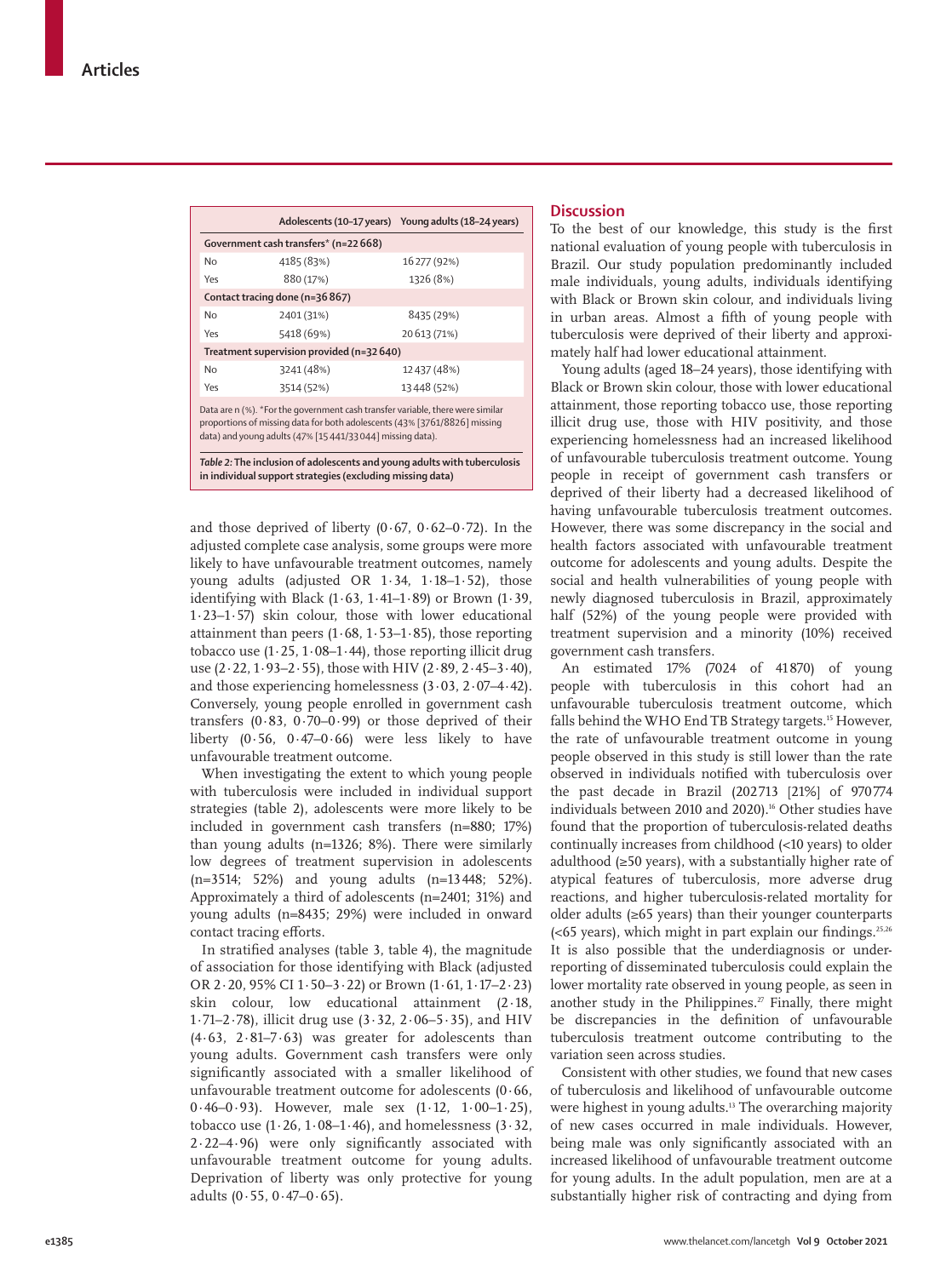|                                                                                                                                                                                                                         |                                           | Adolescents (10-17 years) Young adults (18-24 years) |  |  |
|-------------------------------------------------------------------------------------------------------------------------------------------------------------------------------------------------------------------------|-------------------------------------------|------------------------------------------------------|--|--|
|                                                                                                                                                                                                                         | Government cash transfers* (n=22 668)     |                                                      |  |  |
| No                                                                                                                                                                                                                      | 4185 (83%)                                | 16277 (92%)                                          |  |  |
| Yes                                                                                                                                                                                                                     | 880 (17%)                                 | 1326 (8%)                                            |  |  |
|                                                                                                                                                                                                                         | Contact tracing done (n=36867)            |                                                      |  |  |
| No                                                                                                                                                                                                                      | 2401 (31%)                                | 8435 (29%)                                           |  |  |
| Yes                                                                                                                                                                                                                     | 5418 (69%)                                | 20 613 (71%)                                         |  |  |
|                                                                                                                                                                                                                         | Treatment supervision provided (n=32 640) |                                                      |  |  |
| No                                                                                                                                                                                                                      | 3241 (48%)                                | 12437 (48%)                                          |  |  |
| Yes                                                                                                                                                                                                                     | 3514 (52%)                                | 13448 (52%)                                          |  |  |
| Data are n (%). *For the government cash transfer variable, there were similar<br>proportions of missing data for both adolescents (43% [3761/8826] missing<br>data) and young adults (47% [15441/33044] missing data). |                                           |                                                      |  |  |
| Table 2: The inclusion of adolescents and young adults with tuberculosis<br>in individual support strategies (excluding missing data)                                                                                   |                                           |                                                      |  |  |

and those deprived of liberty  $(0.67, 0.62 - 0.72)$ . In the adjusted complete case analysis, some groups were more likely to have unfavourable treatment outcomes, namely young adults (adjusted OR 1·34, 1·18–1·52), those identifying with Black  $(1.63, 1.41-1.89)$  or Brown  $(1.39, 1.41)$ 1·23–1·57) skin colour, those with lower educational attainment than peers  $(1.68, 1.53-1.85)$ , those reporting tobacco use  $(1.25, 1.08-1.44)$ , those reporting illicit drug use  $(2.22, 1.93 - 2.55)$ , those with HIV  $(2.89, 2.45 - 3.40)$ , and those experiencing homelessness (3·03, 2·07–4·42). Conversely, young people enrolled in government cash transfers  $(0.83, 0.70-0.99)$  or those deprived of their liberty  $(0.56, 0.47-0.66)$  were less likely to have unfavourable treatment outcome.

When investigating the extent to which young people with tuberculosis were included in individual support strategies (table 2), adolescents were more likely to be included in government cash transfers (n=880; 17%) than young adults (n=1326; 8%). There were similarly low degrees of treatment supervision in adolescents (n=3514; 52%) and young adults (n=13448; 52%). Approximately a third of adolescents (n=2401; 31%) and young adults (n=8435; 29%) were included in onward contact tracing efforts.

In stratified analyses (table 3, table 4), the magnitude of association for those identifying with Black (adjusted OR 2·20, 95% CI 1·50–3·22) or Brown (1·61, 1·17–2·23) skin colour, low educational attainment (2·18, 1·71–2·78), illicit drug use  $(3.32, 2.06 - 5.35)$ , and HIV (4·63, 2·81–7·63) was greater for adolescents than young adults. Government cash transfers were only significantly associated with a smaller likelihood of unfavourable treatment outcome for adolescents (0·66, 0·46–0·93). However, male sex (1·12, 1·00–1·25), tobacco use  $(1.26, 1.08–1.46)$ , and homelessness  $(3.32, 1.08)$ 2·22–4·96) were only significantly associated with unfavourable treatment outcome for young adults. Deprivation of liberty was only protective for young adults  $(0.55, 0.47 - 0.65)$ .

## **Discussion**

To the best of our knowledge, this study is the first national evaluation of young people with tuberculosis in Brazil. Our study population predominantly included male individuals, young adults, individuals identifying with Black or Brown skin colour, and individuals living in urban areas. Almost a fifth of young people with tuberculosis were deprived of their liberty and approximately half had lower educational attainment.

Young adults (aged 18–24 years), those identifying with Black or Brown skin colour, those with lower educational attainment, those reporting tobacco use, those reporting illicit drug use, those with HIV positivity, and those experiencing homelessness had an increased likelihood of unfavourable tuberculosis treatment outcome. Young people in receipt of government cash transfers or deprived of their liberty had a decreased likelihood of having unfavourable tuberculosis treatment outcomes. However, there was some discrepancy in the social and health factors associated with unfavourable treatment outcome for adolescents and young adults. Despite the social and health vulnerabilities of young people with newly diagnosed tuberculosis in Brazil, approximately half (52%) of the young people were provided with treatment supervision and a minority (10%) received government cash transfers.

An estimated 17% (7024 of 41870) of young people with tuberculosis in this cohort had an unfavourable tuberculosis treatment outcome, which falls behind the WHO End TB Strategy targets.<sup>15</sup> However, the rate of unfavourable treatment outcome in young people observed in this study is still lower than the rate observed in individuals notified with tuberculosis over the past decade in Brazil (202 713 [21%] of 970774 individuals between 2010 and 2020).<sup>16</sup> Other studies have found that the proportion of tuberculosis-related deaths continually increases from childhood (<10 years) to older adulthood (≥50 years), with a substantially higher rate of atypical features of tuberculosis, more adverse drug reactions, and higher tuberculosis-related mortality for older adults (≥65 years) than their younger counterparts  $(**65** years)$ , which might in part explain our findings.<sup>25,26</sup> It is also possible that the underdiagnosis or underreporting of disseminated tuberculosis could explain the lower mortality rate observed in young people, as seen in another study in the Philippines.<sup>27</sup> Finally, there might be discrepancies in the definition of unfavourable tuberculosis treatment outcome contributing to the variation seen across studies.

Consistent with other studies, we found that new cases of tuberculosis and likelihood of unfavourable outcome were highest in young adults.<sup>13</sup> The overarching majority of new cases occurred in male individuals. However, being male was only significantly associated with an increased likelihood of unfavourable treatment outcome for young adults. In the adult population, men are at a substantially higher risk of contracting and dying from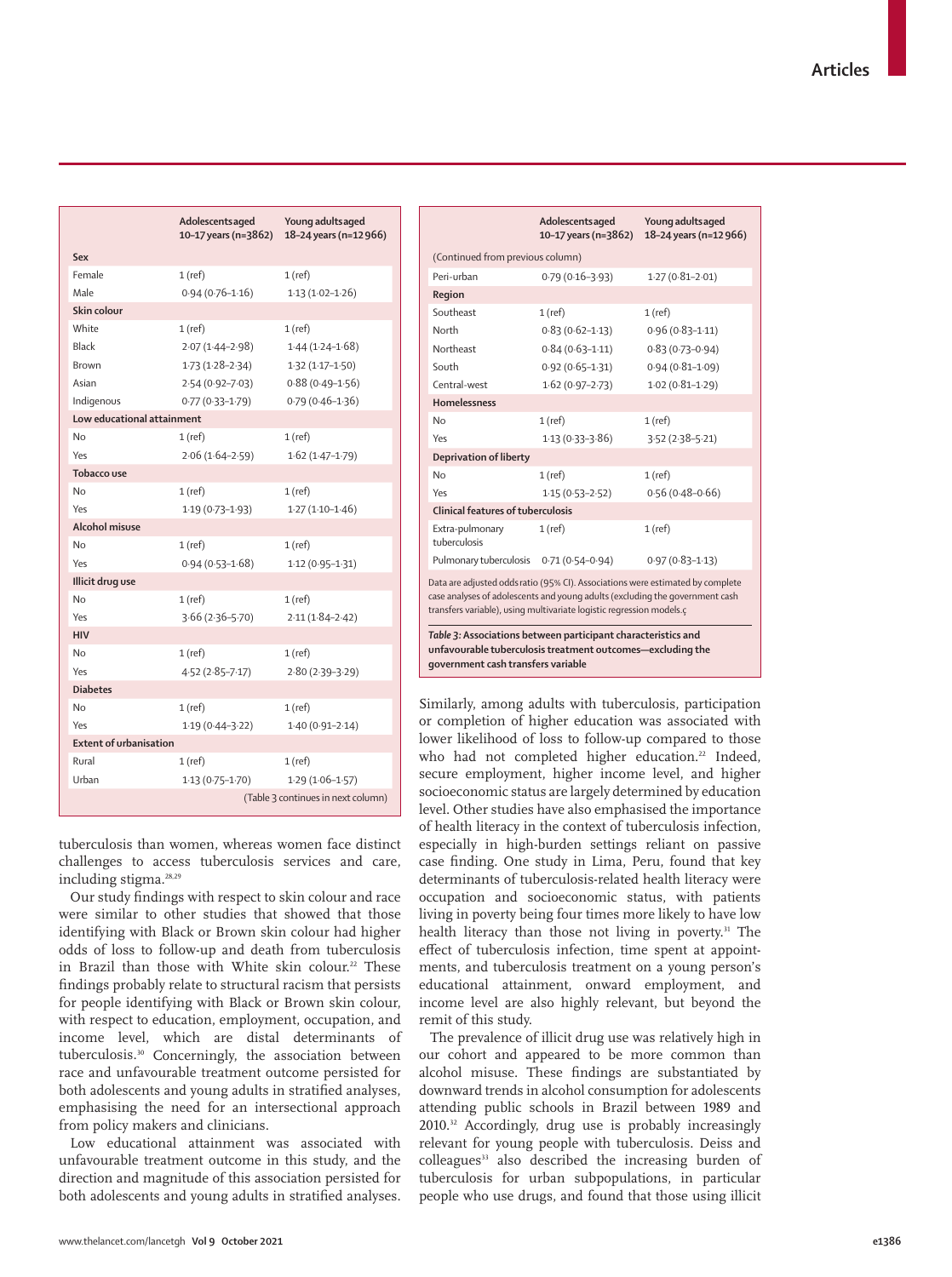|                               | <b>Adolescents aged</b><br>10-17 years (n=3862) | Young adults aged<br>18-24 years (n=12 966) |
|-------------------------------|-------------------------------------------------|---------------------------------------------|
| Sex                           |                                                 |                                             |
| Female                        | 1 (ref)                                         | 1(ref)                                      |
| Male                          | $0.94(0.76 - 1.16)$                             | $1.13(1.02 - 1.26)$                         |
| Skin colour                   |                                                 |                                             |
| White                         | $1$ (ref)                                       | 1(ref)                                      |
| <b>Black</b>                  | $2.07(1.44 - 2.98)$                             | $1.44(1.24 - 1.68)$                         |
| <b>Brown</b>                  | $1.73(1.28-2.34)$                               | $1.32(1.17 - 1.50)$                         |
| Asian                         | $2.54(0.92 - 7.03)$                             | $0.88(0.49 - 1.56)$                         |
| Indigenous                    | $0.77(0.33 - 1.79)$                             | $0.79(0.46 - 1.36)$                         |
| Low educational attainment    |                                                 |                                             |
| No                            | $1$ (ref)                                       | 1(ref)                                      |
| Yes                           | $2.06(1.64 - 2.59)$                             | $1.62(1.47-1.79)$                           |
| <b>Tobacco use</b>            |                                                 |                                             |
| No                            | $1$ (ref)                                       | $1$ (ref)                                   |
| Yes                           | $1.19(0.73 - 1.93)$                             | $1.27(1.10-1.46)$                           |
| <b>Alcohol misuse</b>         |                                                 |                                             |
| No                            | $1$ (ref)                                       | 1(ref)                                      |
| Yes                           | $0.94(0.53 - 1.68)$                             | $1.12(0.95 - 1.31)$                         |
| Illicit drug use              |                                                 |                                             |
| N <sub>o</sub>                | $1$ (ref)                                       | 1(ref)                                      |
| Yes                           | $3.66(2.36 - 5.70)$                             | $2.11(1.84 - 2.42)$                         |
| <b>HIV</b>                    |                                                 |                                             |
| N <sub>o</sub>                | $1$ (ref)                                       | 1(ref)                                      |
| Yes                           | $4.52(2.85 - 7.17)$                             | $2.80(2.39 - 3.29)$                         |
| <b>Diabetes</b>               |                                                 |                                             |
| No                            | $1$ (ref)                                       | 1(ref)                                      |
| Yes                           | $1.19(0.44 - 3.22)$                             | $1.40(0.91 - 2.14)$                         |
| <b>Extent of urbanisation</b> |                                                 |                                             |
| Rural                         | $1$ (ref)                                       | 1(ref)                                      |
| Urban                         | $1.13(0.75 - 1.70)$                             | $1.29(1.06-1.57)$                           |
|                               |                                                 | (Table 3 continues in next column)          |

tuberculosis than women, whereas women face distinct challenges to access tuberculosis services and care, including stigma.28,29

Our study findings with respect to skin colour and race were similar to other studies that showed that those identifying with Black or Brown skin colour had higher odds of loss to follow-up and death from tuberculosis in Brazil than those with White skin colour.<sup>22</sup> These findings probably relate to structural racism that persists for people identifying with Black or Brown skin colour, with respect to education, employment, occupation, and income level, which are distal determinants of tuberculosis.30 Concerningly, the association between race and unfavourable treatment outcome persisted for both adolescents and young adults in stratified analyses, emphasising the need for an intersectional approach from policy makers and clinicians.

Low educational attainment was associated with unfavourable treatment outcome in this study, and the direction and magnitude of this association persisted for both adolescents and young adults in stratified analyses.

|                                                                                                                                                                                                                                        | Adolescentsaged<br>10-17 years (n=3862) | Young adultsaged<br>18-24 years (n=12 966) |
|----------------------------------------------------------------------------------------------------------------------------------------------------------------------------------------------------------------------------------------|-----------------------------------------|--------------------------------------------|
| (Continued from previous column)                                                                                                                                                                                                       |                                         |                                            |
| Peri-urban                                                                                                                                                                                                                             | $0.79(0.16 - 3.93)$                     | $1.27(0.81 - 2.01)$                        |
| Region                                                                                                                                                                                                                                 |                                         |                                            |
| Southeast                                                                                                                                                                                                                              | $1$ (ref)                               | $1$ (ref)                                  |
| North                                                                                                                                                                                                                                  | $0.83(0.62 - 1.13)$                     | $0.96(0.83 - 1.11)$                        |
| Northeast                                                                                                                                                                                                                              | $0.84(0.63 - 1.11)$                     | $0.83(0.73 - 0.94)$                        |
| South                                                                                                                                                                                                                                  | $0.92(0.65 - 1.31)$                     | $0.94(0.81 - 1.09)$                        |
| Central-west                                                                                                                                                                                                                           | $1.62(0.97-2.73)$                       | $1.02(0.81 - 1.29)$                        |
| <b>Homelessness</b>                                                                                                                                                                                                                    |                                         |                                            |
| No                                                                                                                                                                                                                                     | $1$ (ref)                               | $1$ (ref)                                  |
| Yes                                                                                                                                                                                                                                    | $1.13(0.33 - 3.86)$                     | $3.52(2.38 - 5.21)$                        |
| <b>Deprivation of liberty</b>                                                                                                                                                                                                          |                                         |                                            |
| <b>No</b>                                                                                                                                                                                                                              | $1$ (ref)                               | $1$ (ref)                                  |
| Yes                                                                                                                                                                                                                                    | $1.15(0.53 - 2.52)$                     | $0.56(0.48 - 0.66)$                        |
| Clinical features of tuberculosis                                                                                                                                                                                                      |                                         |                                            |
| Extra-pulmonary<br>tuberculosis                                                                                                                                                                                                        | $1$ (ref)                               | $1$ (ref)                                  |
| Pulmonary tuberculosis 0.71 (0.54-0.94)                                                                                                                                                                                                |                                         | $0.97(0.83 - 1.13)$                        |
| Data are adjusted odds ratio (95% CI). Associations were estimated by complete<br>case analyses of adolescents and young adults (excluding the government cash<br>transfers variable), using multivariate logistic regression models.c |                                         |                                            |
| Table 3: Associations between participant characteristics and<br>unfavourable tuberculosis treatment outcomes-excluding the<br>government cash transfers variable                                                                      |                                         |                                            |

Similarly, among adults with tuberculosis, participation or completion of higher education was associated with lower likelihood of loss to follow-up compared to those who had not completed higher education.<sup>22</sup> Indeed, secure employment, higher income level, and higher socioeconomic status are largely determined by education level. Other studies have also emphasised the importance of health literacy in the context of tuberculosis infection, especially in high-burden settings reliant on passive case finding. One study in Lima, Peru, found that key determinants of tuberculosis-related health literacy were occupation and socioeconomic status, with patients living in poverty being four times more likely to have low health literacy than those not living in poverty.<sup>31</sup> The effect of tuberculosis infection, time spent at appointments, and tuberculosis treatment on a young person's educational attainment, onward employment, and income level are also highly relevant, but beyond the remit of this study.

The prevalence of illicit drug use was relatively high in our cohort and appeared to be more common than alcohol misuse. These findings are substantiated by downward trends in alcohol consumption for adolescents attending public schools in Brazil between 1989 and 2010.32 Accordingly, drug use is probably increasingly relevant for young people with tuberculosis. Deiss and colleagues<sup>33</sup> also described the increasing burden of tuberculosis for urban subpopulations, in particular people who use drugs, and found that those using illicit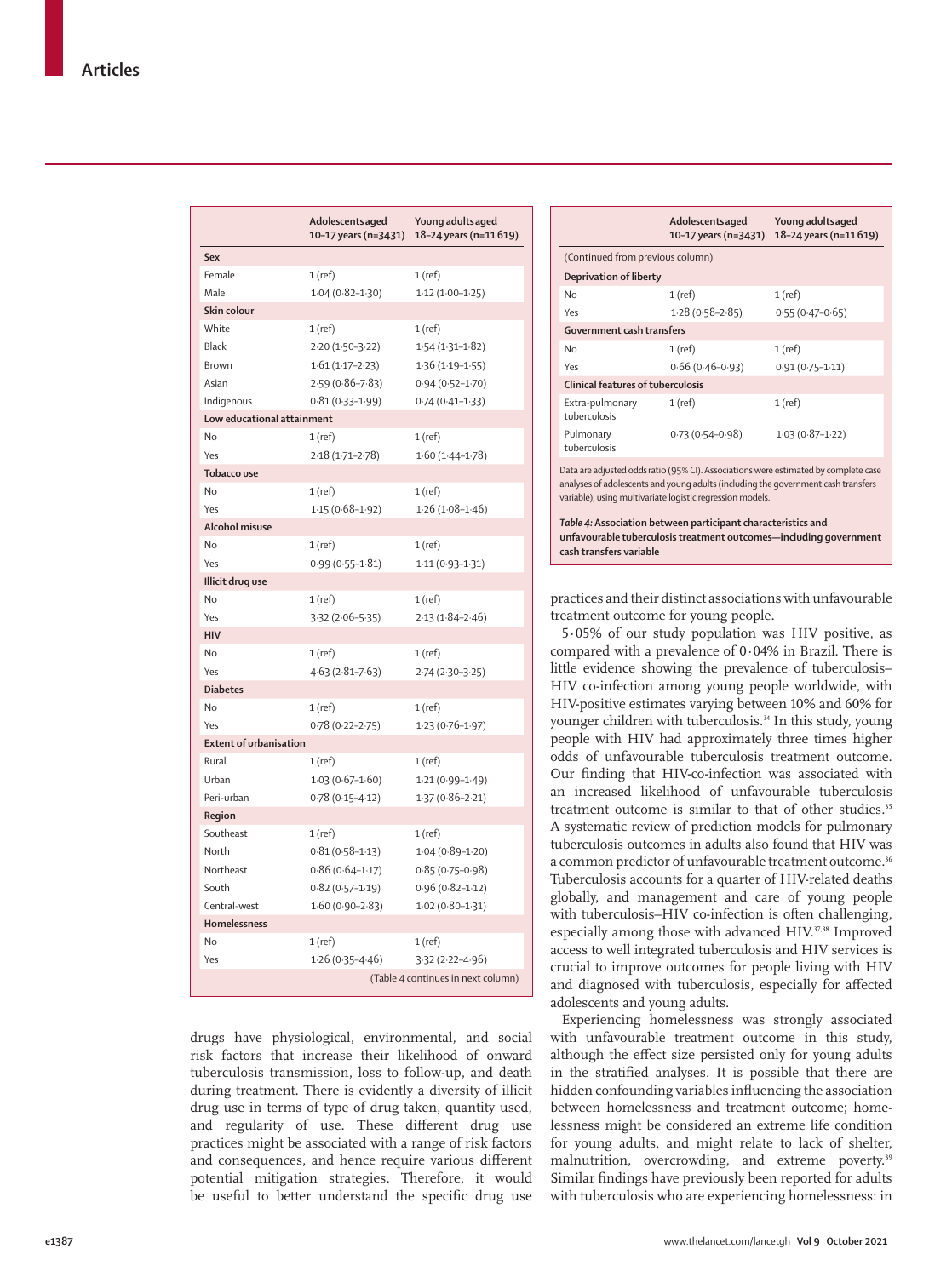|                               | Adolescentsaged<br>10-17 years (n=3431) | Young adults aged<br>18-24 years (n=11619) |
|-------------------------------|-----------------------------------------|--------------------------------------------|
| Sex                           |                                         |                                            |
| Female                        | 1(ref)                                  | 1(ref)                                     |
| Male                          | $1.04(0.82 - 1.30)$                     | $1.12(1.00-1.25)$                          |
| Skin colour                   |                                         |                                            |
| White                         | 1(ref)                                  | 1(ref)                                     |
| Black                         | $2.20(1.50-3.22)$                       | $1.54(1.31-1.82)$                          |
| Brown                         | $1.61(1.17-2.23)$                       | $1.36(1.19-1.55)$                          |
| Asian                         | $2.59(0.86 - 7.83)$                     | $0.94(0.52 - 1.70)$                        |
| Indigenous                    | $0.81(0.33 - 1.99)$                     | $0.74(0.41 - 1.33)$                        |
| Low educational attainment    |                                         |                                            |
| <b>No</b>                     | $1$ (ref)                               | 1 (ref)                                    |
| Yes                           | $2.18(1.71 - 2.78)$                     | $1.60(1.44 - 1.78)$                        |
| <b>Tobacco use</b>            |                                         |                                            |
| No                            | 1(ref)                                  | $1$ (ref)                                  |
| Yes                           | $1.15(0.68 - 1.92)$                     | $1.26(1.08-1.46)$                          |
| <b>Alcohol misuse</b>         |                                         |                                            |
| No                            | 1(ref)                                  | 1(ref)                                     |
| Yes                           | $0.99(0.55 - 1.81)$                     | $1.11(0.93 - 1.31)$                        |
| Illicit drug use              |                                         |                                            |
| No                            | 1 (ref)                                 | $1$ (ref)                                  |
| Yes                           | $3.32(2.06 - 5.35)$                     | $2.13(1.84 - 2.46)$                        |
| <b>HIV</b>                    |                                         |                                            |
| <b>No</b>                     | 1(ref)                                  | $1$ (ref)                                  |
| Yes                           | $4.63(2.81 - 7.63)$                     | $2.74(2.30-3.25)$                          |
| <b>Diabetes</b>               |                                         |                                            |
| No                            | 1(ref)                                  | 1(ref)                                     |
| Yes                           | $0.78(0.22 - 2.75)$                     | $1.23(0.76-1.97)$                          |
| <b>Extent of urbanisation</b> |                                         |                                            |
| Rural                         | $1$ (ref)                               | $1$ (ref)                                  |
| Urban                         | $1.03(0.67 - 1.60)$                     | $1.21(0.99 - 1.49)$                        |
| Peri-urban                    | $0.78(0.15 - 4.12)$                     | $1.37(0.86 - 2.21)$                        |
| Region                        |                                         |                                            |
| Southeast                     | $1$ (ref)                               | 1 (ref)                                    |
| North                         | $0.81(0.58 - 1.13)$                     | $1.04(0.89 - 1.20)$                        |
| Northeast                     | $0.86(0.64 - 1.17)$                     | $0.85(0.75 - 0.98)$                        |
| South                         | $0.82(0.57 - 1.19)$                     | $0.96(0.82 - 1.12)$                        |
| Central-west                  | $1.60(0.90-2.83)$                       | $1.02(0.80 - 1.31)$                        |
| Homelessness                  |                                         |                                            |
| <b>No</b>                     | $1$ (ref)                               | 1 (ref)                                    |
| Yes                           | $1.26(0.35 - 4.46)$                     | $3.32(2.22 - 4.96)$                        |
|                               | (Table 4 continues in next column)      |                                            |

drugs have physiological, environmental, and social risk factors that increase their likelihood of onward tuberculosis transmission, loss to follow-up, and death during treatment. There is evidently a diversity of illicit drug use in terms of type of drug taken, quantity used, and regularity of use. These different drug use practices might be associated with a range of risk factors and consequences, and hence require various different potential mitigation strategies. Therefore, it would be useful to better understand the specific drug use

|                                                                                                                                                                                                                                       | Adolescents aged     | Young adults aged     |  |
|---------------------------------------------------------------------------------------------------------------------------------------------------------------------------------------------------------------------------------------|----------------------|-----------------------|--|
|                                                                                                                                                                                                                                       | 10-17 years (n=3431) | 18-24 years (n=11619) |  |
| (Continued from previous column)                                                                                                                                                                                                      |                      |                       |  |
| Deprivation of liberty                                                                                                                                                                                                                |                      |                       |  |
| No                                                                                                                                                                                                                                    | $1$ (ref)            | $1$ (ref)             |  |
| Yes                                                                                                                                                                                                                                   | $1.28(0.58-2.85)$    | $0.55(0.47 - 0.65)$   |  |
| <b>Government cash transfers</b>                                                                                                                                                                                                      |                      |                       |  |
| No                                                                                                                                                                                                                                    | 1(ref)               | $1$ (ref)             |  |
| Yes                                                                                                                                                                                                                                   | $0.66(0.46 - 0.93)$  | $0.91(0.75 - 1.11)$   |  |
| Clinical features of tuberculosis                                                                                                                                                                                                     |                      |                       |  |
| Extra-pulmonary<br>tuberculosis                                                                                                                                                                                                       | $1$ (ref)            | $1$ (ref)             |  |
| Pulmonary<br>tuberculosis                                                                                                                                                                                                             | $0.73(0.54 - 0.98)$  | $1.03(0.87-1.22)$     |  |
| Data are adjusted odds ratio (95% CI). Associations were estimated by complete case<br>analyses of adolescents and young adults (including the government cash transfers<br>variable), using multivariate logistic regression models. |                      |                       |  |
| Table 4: Association between participant characteristics and<br>unfavourable tuberculosis treatment outcomes-including government<br>cash transfers variable                                                                          |                      |                       |  |

practices and their distinct associations with unfavourable treatment outcome for young people.

5·05% of our study population was HIV positive, as compared with a prevalence of 0·04% in Brazil. There is little evidence showing the prevalence of tuberculosis– HIV co-infection among young people worldwide, with HIV-positive estimates varying between 10% and 60% for younger children with tuberculosis.<sup>34</sup> In this study, young people with HIV had approximately three times higher odds of unfavourable tuberculosis treatment outcome. Our finding that HIV-co-infection was associated with an increased likelihood of unfavourable tuberculosis treatment outcome is similar to that of other studies.<sup>35</sup> A systematic review of prediction models for pulmonary tuberculosis outcomes in adults also found that HIV was a common predictor of unfavourable treatment outcome.<sup>36</sup> Tuberculosis accounts for a quarter of HIV-related deaths globally, and management and care of young people with tuberculosis–HIV co-infection is often challenging, especially among those with advanced HIV.<sup>37,38</sup> Improved access to well integrated tuberculosis and HIV services is crucial to improve outcomes for people living with HIV and diagnosed with tuberculosis, especially for affected adolescents and young adults.

Experiencing homelessness was strongly associated with unfavourable treatment outcome in this study, although the effect size persisted only for young adults in the stratified analyses. It is possible that there are hidden confounding variables influencing the association between homelessness and treatment outcome; homelessness might be considered an extreme life condition for young adults, and might relate to lack of shelter, malnutrition, overcrowding, and extreme poverty.<sup>39</sup> Similar findings have previously been reported for adults with tuberculosis who are experiencing homelessness: in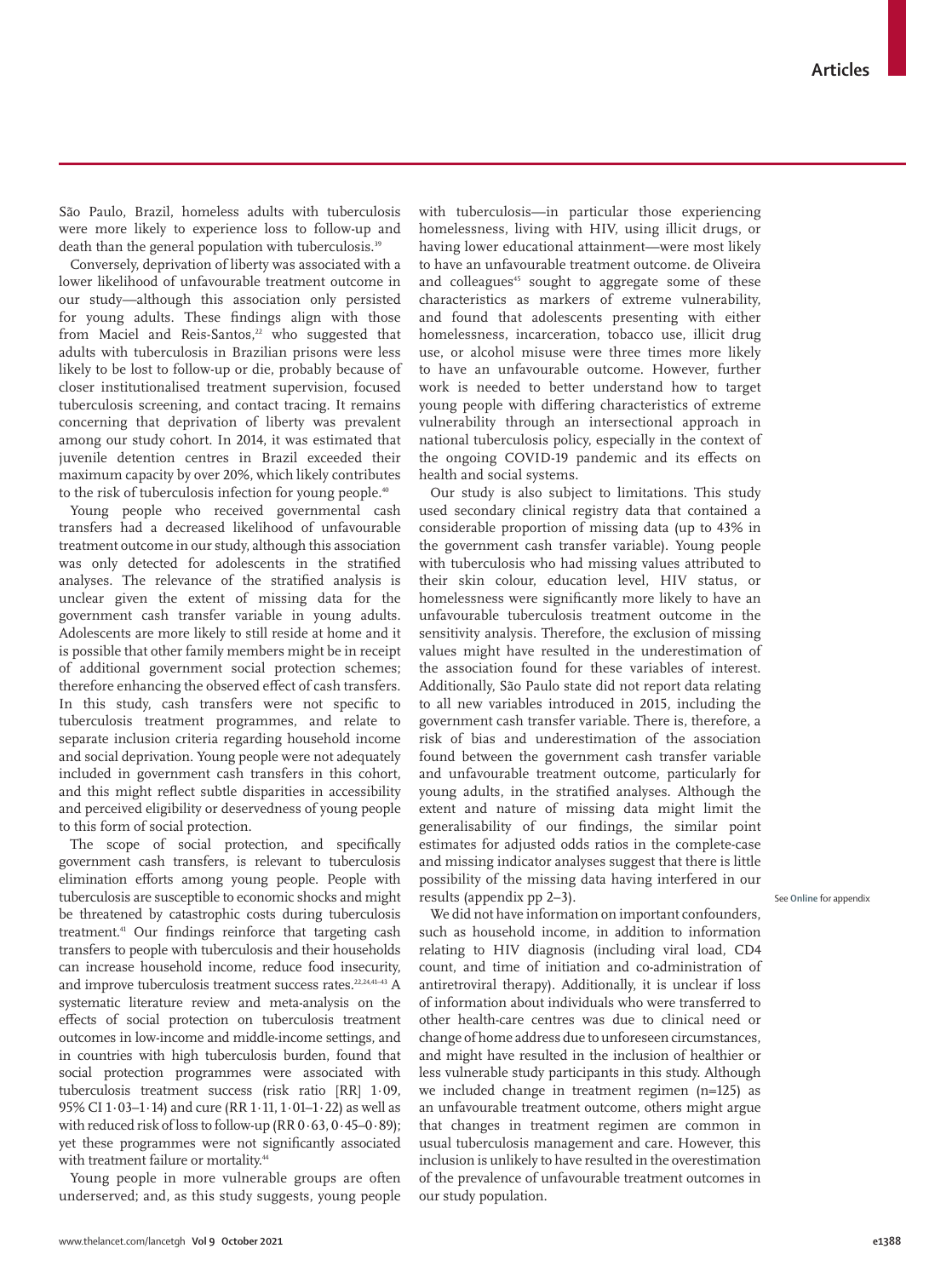São Paulo, Brazil, homeless adults with tuberculosis were more likely to experience loss to follow-up and death than the general population with tuberculosis.<sup>39</sup>

Conversely, deprivation of liberty was associated with a lower likelihood of unfavourable treatment outcome in our study—although this association only persisted for young adults. These findings align with those from Maciel and Reis-Santos, $22$  who suggested that adults with tuberculosis in Brazilian prisons were less likely to be lost to follow-up or die, probably because of closer institutionalised treatment supervision, focused tuberculosis screening, and contact tracing. It remains concerning that deprivation of liberty was prevalent among our study cohort. In 2014, it was estimated that juvenile detention centres in Brazil exceeded their maximum capacity by over 20%, which likely contributes to the risk of tuberculosis infection for young people.<sup>40</sup>

Young people who received governmental cash transfers had a decreased likelihood of unfavourable treatment outcome in our study, although this association was only detected for adolescents in the stratified analyses. The relevance of the stratified analysis is unclear given the extent of missing data for the government cash transfer variable in young adults. Adolescents are more likely to still reside at home and it is possible that other family members might be in receipt of additional government social protection schemes; therefore enhancing the observed effect of cash transfers. In this study, cash transfers were not specific to tuberculosis treatment programmes, and relate to separate inclusion criteria regarding household income and social deprivation. Young people were not adequately included in government cash transfers in this cohort, and this might reflect subtle disparities in accessibility and perceived eligibility or deservedness of young people to this form of social protection.

The scope of social protection, and specifically government cash transfers, is relevant to tuberculosis elimination efforts among young people. People with tuberculosis are susceptible to economic shocks and might be threatened by catastrophic costs during tuberculosis treatment.41 Our findings reinforce that targeting cash transfers to people with tuberculosis and their households can increase household income, reduce food insecurity, and improve tuberculosis treatment success rates.<sup>22,24,41-43</sup> A systematic literature review and meta-analysis on the effects of social protection on tuberculosis treatment outcomes in low-income and middle-income settings, and in countries with high tuberculosis burden, found that social protection programmes were associated with tuberculosis treatment success (risk ratio [RR] 1·09, 95% CI 1·03–1·14) and cure (RR 1·11, 1·01–1·22) as well as with reduced risk of loss to follow-up (RR 0·63, 0·45–0·89); yet these programmes were not significantly associated with treatment failure or mortality.<sup>44</sup>

Young people in more vulnerable groups are often underserved; and, as this study suggests, young people with tuberculosis—in particular those experiencing homelessness, living with HIV, using illicit drugs, or having lower educational attainment—were most likely to have an unfavourable treatment outcome. de Oliveira and colleagues<sup>45</sup> sought to aggregate some of these characteristics as markers of extreme vulnerability, and found that adolescents presenting with either homelessness, incarceration, tobacco use, illicit drug use, or alcohol misuse were three times more likely to have an unfavourable outcome. However, further work is needed to better understand how to target young people with differing characteristics of extreme vulnerability through an intersectional approach in national tuberculosis policy, especially in the context of the ongoing COVID-19 pandemic and its effects on health and social systems.

Our study is also subject to limitations. This study used secondary clinical registry data that contained a considerable proportion of missing data (up to 43% in the government cash transfer variable). Young people with tuberculosis who had missing values attributed to their skin colour, education level, HIV status, or homelessness were significantly more likely to have an unfavourable tuberculosis treatment outcome in the sensitivity analysis. Therefore, the exclusion of missing values might have resulted in the underestimation of the association found for these variables of interest. Additionally, São Paulo state did not report data relating to all new variables introduced in 2015, including the government cash transfer variable. There is, therefore, a risk of bias and underestimation of the association found between the government cash transfer variable and unfavourable treatment outcome, particularly for young adults, in the stratified analyses. Although the extent and nature of missing data might limit the generalisability of our findings, the similar point estimates for adjusted odds ratios in the complete-case and missing indicator analyses suggest that there is little possibility of the missing data having interfered in our results (appendix pp 2–3).

We did not have information on important confounders, such as household income, in addition to information relating to HIV diagnosis (including viral load, CD4 count, and time of initiation and co-administration of antiretroviral therapy). Additionally, it is unclear if loss of information about individuals who were transferred to other health-care centres was due to clinical need or change of home address due to unforeseen circumstances, and might have resulted in the inclusion of healthier or less vulnerable study participants in this study. Although we included change in treatment regimen (n=125) as an unfavourable treatment outcome, others might argue that changes in treatment regimen are common in usual tuberculosis management and care. However, this inclusion is unlikely to have resulted in the overestimation of the prevalence of unfavourable treatment outcomes in our study population.

See **Online** for appendix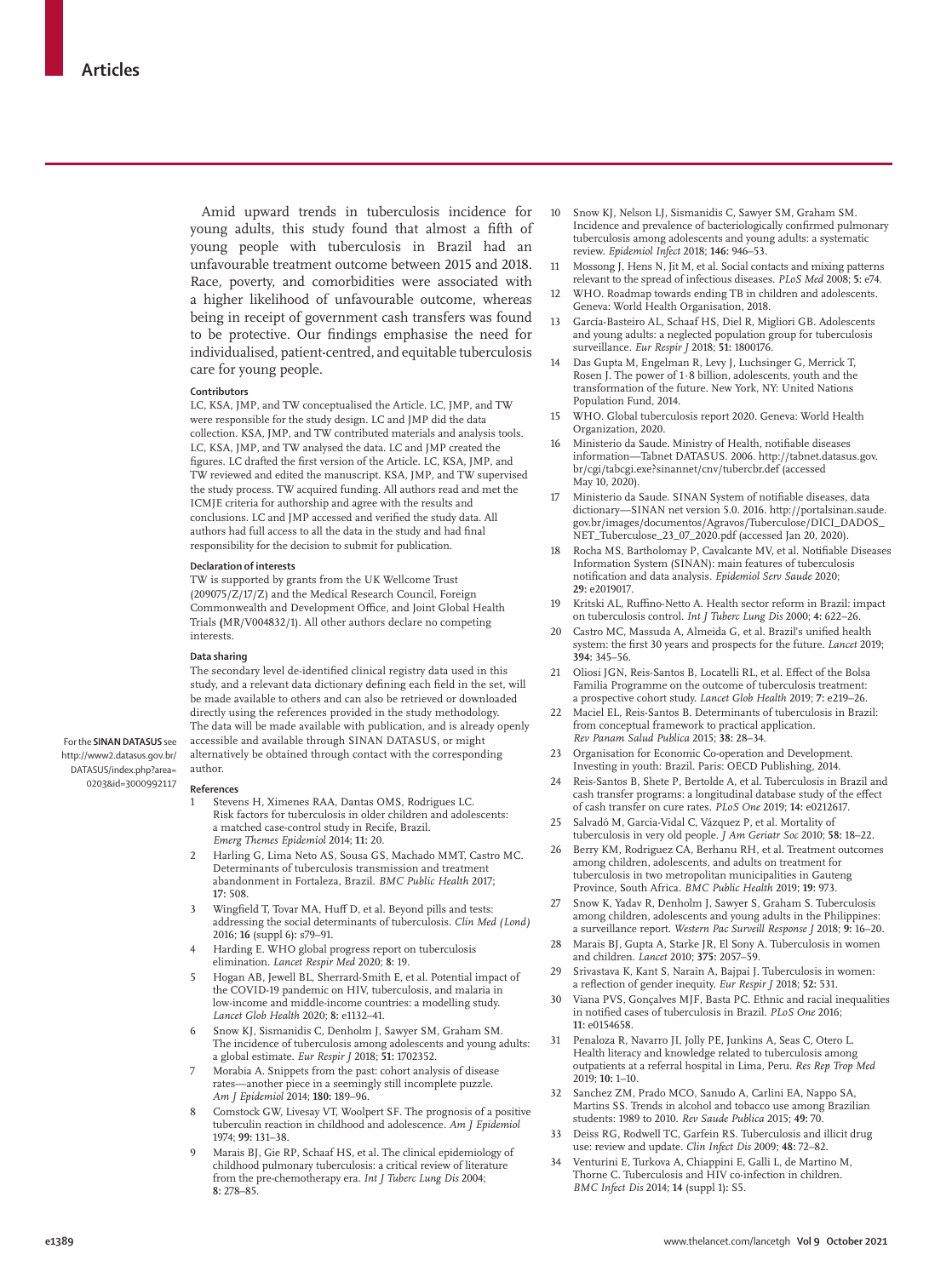Amid upward trends in tuberculosis incidence for young adults, this study found that almost a fifth of young people with tuberculosis in Brazil had an unfavourable treatment outcome between 2015 and 2018. Race, poverty, and comorbidities were associated with a higher likelihood of unfavourable outcome, whereas being in receipt of government cash transfers was found to be protective. Our findings emphasise the need for individualised, patient-centred, and equitable tuberculosis care for young people.

#### **Contributors**

LC, KSA, JMP, and TW conceptualised the Article. LC, JMP, and TW were responsible for the study design. LC and JMP did the data collection. KSA, JMP, and TW contributed materials and analysis tools. LC, KSA, JMP, and TW analysed the data. LC and JMP created the figures. LC drafted the first version of the Article. LC, KSA, JMP, and TW reviewed and edited the manuscript. KSA, JMP, and TW supervised the study process. TW acquired funding. All authors read and met the ICMJE criteria for authorship and agree with the results and conclusions. LC and JMP accessed and verified the study data. All authors had full access to all the data in the study and had final responsibility for the decision to submit for publication.

#### **Declaration of interests**

TW is supported by grants from the UK Wellcome Trust (209075/Z/17/Z) and the Medical Research Council, Foreign Commonwealth and Development Office, and Joint Global Health Trials **(**MR/V004832/1). All other authors declare no competing interests.

#### **Data sharing**

The secondary level de-identified clinical registry data used in this study, and a relevant data dictionary defining each field in the set, will be made available to others and can also be retrieved or downloaded directly using the references provided in the study methodology. The data will be made available with publication, and is already openly accessible and available through [SINAN DATASUS,](http://www2.datasus.gov.br/DATASUS/index.php?area=0203&id=3000992117) or might alternatively be obtained through contact with the corresponding author.

For the **SINAN DATASUS** see [http://www2.datasus.gov.br/](http://www2.datasus.gov.br/DATASUS/index.php?area=0203&id=3000992117) [DATASUS/index.php?area=](http://www2.datasus.gov.br/DATASUS/index.php?area=0203&id=3000992117) [0203&id=3000992117](http://www2.datasus.gov.br/DATASUS/index.php?area=0203&id=3000992117)

#### **References**

- 1 Stevens H, Ximenes RAA, Dantas OMS, Rodrigues LC. Risk factors for tuberculosis in older children and adolescents: a matched case-control study in Recife, Brazil. *Emerg Themes Epidemiol* 2014; **11:** 20.
- 2 Harling G, Lima Neto AS, Sousa GS, Machado MMT, Castro MC. Determinants of tuberculosis transmission and treatment abandonment in Fortaleza, Brazil. *BMC Public Health* 2017; **17:** 508.
- 3 Wingfield T, Tovar MA, Huff D, et al. Beyond pills and tests: addressing the social determinants of tuberculosis. *Clin Med (Lond)* 2016; **16** (suppl 6)**:** s79–91.
- 4 Harding E. WHO global progress report on tuberculosis elimination. *Lancet Respir Med* 2020; **8:** 19.
- 5 Hogan AB, Jewell BL, Sherrard-Smith E, et al. Potential impact of the COVID-19 pandemic on HIV, tuberculosis, and malaria in low-income and middle-income countries: a modelling study. *Lancet Glob Health* 2020; **8:** e1132–41.
- 6 Snow KJ, Sismanidis C, Denholm J, Sawyer SM, Graham SM. The incidence of tuberculosis among adolescents and young adults: a global estimate. *Eur Respir J* 2018; **51:** 1702352.
- 7 Morabia A. Snippets from the past: cohort analysis of disease rates—another piece in a seemingly still incomplete puzzle. *Am J Epidemiol* 2014; **180:** 189–96.
- Comstock GW, Livesay VT, Woolpert SF. The prognosis of a positive tuberculin reaction in childhood and adolescence. *Am J Epidemiol* 1974; **99:** 131–38.
- Marais BJ, Gie RP, Schaaf HS, et al. The clinical epidemiology of childhood pulmonary tuberculosis: a critical review of literature from the pre-chemotherapy era. *Int J Tuberc Lung Dis* 2004; **8:** 278–85.
- 10 Snow KJ, Nelson LJ, Sismanidis C, Sawyer SM, Graham SM. Incidence and prevalence of bacteriologically confirmed pulmonary tuberculosis among adolescents and young adults: a systematic review. *Epidemiol Infect* 2018; **146:** 946–53.
- 11 Mossong J, Hens N, Jit M, et al. Social contacts and mixing patterns relevant to the spread of infectious diseases. *PLoS Med* 2008; **5:** e74.
- 12 WHO. Roadmap towards ending TB in children and adolescents. Geneva: World Health Organisation, 2018.
- 13 García-Basteiro AL, Schaaf HS, Diel R, Migliori GB. Adolescents and young adults: a neglected population group for tuberculosis surveillance. *Eur Respir J* 2018; **51:** 1800176.
- 14 Das Gupta M, Engelman R, Levy J, Luchsinger G, Merrick T, Rosen J. The power of 1·8 billion, adolescents, youth and the transformation of the future. New York, NY: United Nations Population Fund, 2014.
- 15 WHO. Global tuberculosis report 2020. Geneva: World Health Organization, 2020.
- 16 Ministerio da Saude. Ministry of Health, notifiable diseases information—Tabnet DATASUS. 2006. http://tabnet.datasus.gov. br/cgi/tabcgi.exe?sinannet/cnv/tubercbr.def (accessed May 10, 2020).
- 17 Ministerio da Saude. SINAN System of notifiable diseases, data dictionary—SINAN net version 5.0. 2016. http://portalsinan.saude. gov.br/images/documentos/Agravos/Tuberculose/DICI\_DADOS\_ NET\_Tuberculose\_23\_07\_2020.pdf (accessed Jan 20, 2020).
- 18 Rocha MS, Bartholomay P, Cavalcante MV, et al. Notifiable Diseases Information System (SINAN): main features of tuberculosis notification and data analysis. *Epidemiol Serv Saude* 2020; **29:** e2019017.
- 19 Kritski AL, Ruffino-Netto A. Health sector reform in Brazil: impact on tuberculosis control. *Int J Tuberc Lung Dis* 2000; **4:** 622–26.
- 20 Castro MC, Massuda A, Almeida G, et al. Brazil's unified health system: the first 30 years and prospects for the future. *Lancet* 2019; **394:** 345–56.
- 21 Oliosi JGN, Reis-Santos B, Locatelli RL, et al. Effect of the Bolsa Familia Programme on the outcome of tuberculosis treatment: a prospective cohort study. *Lancet Glob Health* 2019; **7:** e219–26.
- 22 Maciel EL, Reis-Santos B. Determinants of tuberculosis in Brazil: from conceptual framework to practical application. *Rev Panam Salud Publica* 2015; **38:** 28–34.
- Organisation for Economic Co-operation and Development. Investing in youth: Brazil. Paris: OECD Publishing, 2014.
- 24 Reis-Santos B, Shete P, Bertolde A, et al. Tuberculosis in Brazil and cash transfer programs: a longitudinal database study of the effect of cash transfer on cure rates. *PLoS One* 2019; **14:** e0212617.
- 25 Salvadó M, Garcia-Vidal C, Vázquez P, et al. Mortality of tuberculosis in very old people. *J Am Geriatr Soc* 2010; **58:** 18–22.
- 26 Berry KM, Rodriguez CA, Berhanu RH, et al. Treatment outcomes among children, adolescents, and adults on treatment for tuberculosis in two metropolitan municipalities in Gauteng Province, South Africa. *BMC Public Health* 2019; **19:** 973.
- 27 Snow K, Yadav R, Denholm J, Sawyer S, Graham S. Tuberculosis among children, adolescents and young adults in the Philippines: a surveillance report. *Western Pac Surveill Response J* 2018; **9:** 16–20.
- 28 Marais BJ, Gupta A, Starke JR, El Sony A. Tuberculosis in women and children. *Lancet* 2010; **375:** 2057–59.
- 29 Srivastava K, Kant S, Narain A, Bajpai J. Tuberculosis in women: a reflection of gender inequity. *Eur Respir J* 2018; **52:** 531.
- 30 Viana PVS, Gonçalves MJF, Basta PC. Ethnic and racial inequalities in notified cases of tuberculosis in Brazil. *PLoS One* 2016; **11:** e0154658.
- 31 Penaloza R, Navarro JI, Jolly PE, Junkins A, Seas C, Otero L. Health literacy and knowledge related to tuberculosis among outpatients at a referral hospital in Lima, Peru. *Res Rep Trop Med* 2019; **10:** 1–10.
- 32 Sanchez ZM, Prado MCO, Sanudo A, Carlini EA, Nappo SA, Martins SS. Trends in alcohol and tobacco use among Brazilian students: 1989 to 2010. *Rev Saude Publica* 2015; **49:** 70.
- 33 Deiss RG, Rodwell TC, Garfein RS. Tuberculosis and illicit drug use: review and update. *Clin Infect Dis* 2009; **48:** 72–82.
- 34 Venturini E, Turkova A, Chiappini E, Galli L, de Martino M, Thorne C. Tuberculosis and  $\hat{H}$ IV co-infection in children. *BMC Infect Dis* 2014; **14** (suppl 1)**:** S5.